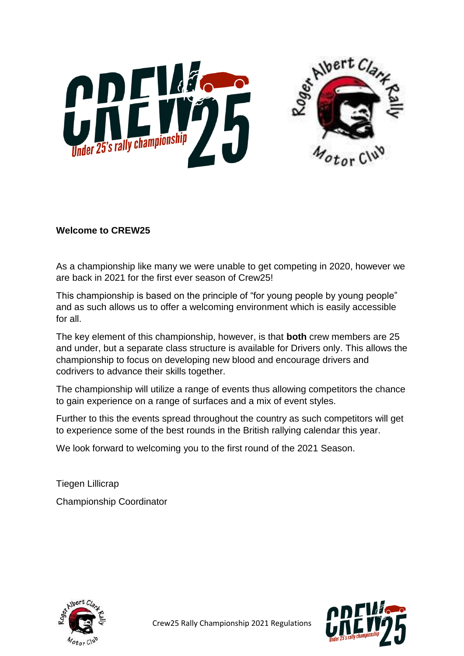



### **Welcome to CREW25**

As a championship like many we were unable to get competing in 2020, however we are back in 2021 for the first ever season of Crew25!

This championship is based on the principle of "for young people by young people" and as such allows us to offer a welcoming environment which is easily accessible for all.

The key element of this championship, however, is that **both** crew members are 25 and under, but a separate class structure is available for Drivers only. This allows the championship to focus on developing new blood and encourage drivers and codrivers to advance their skills together.

The championship will utilize a range of events thus allowing competitors the chance to gain experience on a range of surfaces and a mix of event styles.

Further to this the events spread throughout the country as such competitors will get to experience some of the best rounds in the British rallying calendar this year.

We look forward to welcoming you to the first round of the 2021 Season.

Tiegen Lillicrap Championship Coordinator



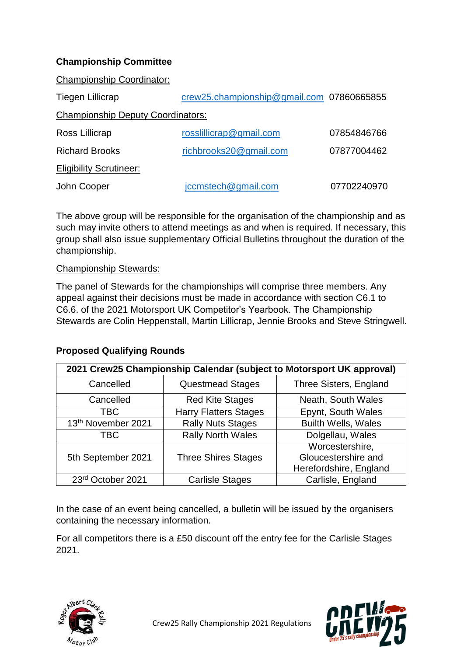## **Championship Committee**

Championship Coordinator:

| Tiegen Lillicrap                         | crew25.championship@gmail.com 07860665855 |             |  |  |  |  |
|------------------------------------------|-------------------------------------------|-------------|--|--|--|--|
| <b>Championship Deputy Coordinators:</b> |                                           |             |  |  |  |  |
| Ross Lillicrap                           | rosslillicrap@gmail.com                   | 07854846766 |  |  |  |  |
| <b>Richard Brooks</b>                    | richbrooks20@gmail.com                    | 07877004462 |  |  |  |  |
| <b>Eligibility Scrutineer:</b>           |                                           |             |  |  |  |  |
| John Cooper                              | jccmstech@gmail.com                       | 07702240970 |  |  |  |  |

The above group will be responsible for the organisation of the championship and as such may invite others to attend meetings as and when is required. If necessary, this group shall also issue supplementary Official Bulletins throughout the duration of the championship.

#### Championship Stewards:

The panel of Stewards for the championships will comprise three members. Any appeal against their decisions must be made in accordance with section C6.1 to C6.6. of the 2021 Motorsport UK Competitor's Yearbook. The Championship Stewards are Colin Heppenstall, Martin Lillicrap, Jennie Brooks and Steve Stringwell.

#### **Proposed Qualifying Rounds**

| 2021 Crew25 Championship Calendar (subject to Motorsport UK approval) |                              |                                                                  |  |  |  |
|-----------------------------------------------------------------------|------------------------------|------------------------------------------------------------------|--|--|--|
| Cancelled                                                             | <b>Questmead Stages</b>      | Three Sisters, England                                           |  |  |  |
| Cancelled                                                             | <b>Red Kite Stages</b>       | Neath, South Wales                                               |  |  |  |
| TBC                                                                   | <b>Harry Flatters Stages</b> | Epynt, South Wales                                               |  |  |  |
| 13th November 2021                                                    | <b>Rally Nuts Stages</b>     | <b>Builth Wells, Wales</b>                                       |  |  |  |
| TBC                                                                   | <b>Rally North Wales</b>     | Dolgellau, Wales                                                 |  |  |  |
| 5th September 2021                                                    | <b>Three Shires Stages</b>   | Worcestershire,<br>Gloucestershire and<br>Herefordshire, England |  |  |  |
| 23rd October 2021                                                     | <b>Carlisle Stages</b>       | Carlisle, England                                                |  |  |  |

In the case of an event being cancelled, a bulletin will be issued by the organisers containing the necessary information.

For all competitors there is a £50 discount off the entry fee for the Carlisle Stages 2021.



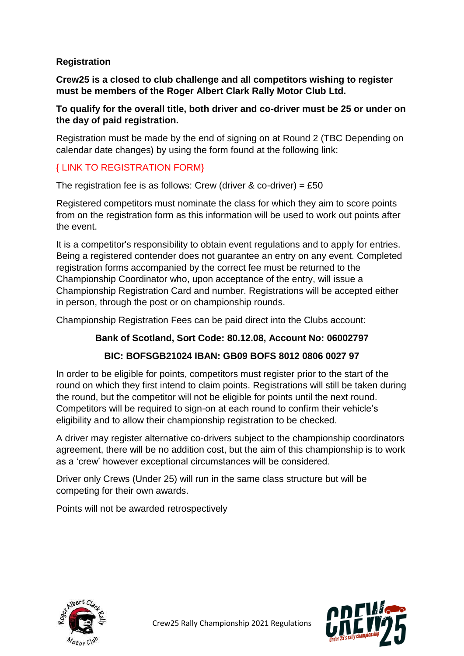## **Registration**

**Crew25 is a closed to club challenge and all competitors wishing to register must be members of the Roger Albert Clark Rally Motor Club Ltd.**

#### **To qualify for the overall title, both driver and co-driver must be 25 or under on the day of paid registration.**

Registration must be made by the end of signing on at Round 2 (TBC Depending on calendar date changes) by using the form found at the following link:

### { LINK TO REGISTRATION FORM}

The registration fee is as follows: Crew (driver  $\&$  co-driver) = £50

Registered competitors must nominate the class for which they aim to score points from on the registration form as this information will be used to work out points after the event.

It is a competitor's responsibility to obtain event regulations and to apply for entries. Being a registered contender does not guarantee an entry on any event. Completed registration forms accompanied by the correct fee must be returned to the Championship Coordinator who, upon acceptance of the entry, will issue a Championship Registration Card and number. Registrations will be accepted either in person, through the post or on championship rounds.

Championship Registration Fees can be paid direct into the Clubs account:

## **Bank of Scotland, Sort Code: 80.12.08, Account No: 06002797**

## **BIC: BOFSGB21024 IBAN: GB09 BOFS 8012 0806 0027 97**

In order to be eligible for points, competitors must register prior to the start of the round on which they first intend to claim points. Registrations will still be taken during the round, but the competitor will not be eligible for points until the next round. Competitors will be required to sign-on at each round to confirm their vehicle's eligibility and to allow their championship registration to be checked.

A driver may register alternative co-drivers subject to the championship coordinators agreement, there will be no addition cost, but the aim of this championship is to work as a 'crew' however exceptional circumstances will be considered.

Driver only Crews (Under 25) will run in the same class structure but will be competing for their own awards.

Points will not be awarded retrospectively



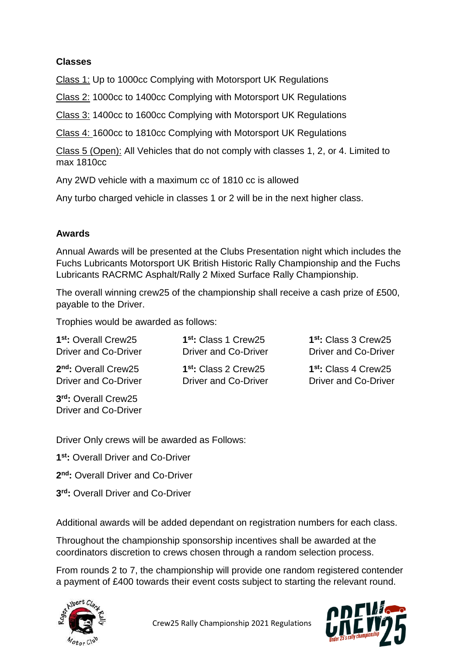### **Classes**

Class 1: Up to 1000cc Complying with Motorsport UK Regulations

Class 2: 1000cc to 1400cc Complying with Motorsport UK Regulations

Class 3: 1400cc to 1600cc Complying with Motorsport UK Regulations

Class 4: 1600cc to 1810cc Complying with Motorsport UK Regulations

Class 5 (Open): All Vehicles that do not comply with classes 1, 2, or 4. Limited to max 1810cc

Any 2WD vehicle with a maximum cc of 1810 cc is allowed

Any turbo charged vehicle in classes 1 or 2 will be in the next higher class.

#### **Awards**

Annual Awards will be presented at the Clubs Presentation night which includes the Fuchs Lubricants Motorsport UK British Historic Rally Championship and the Fuchs Lubricants RACRMC Asphalt/Rally 2 Mixed Surface Rally Championship.

The overall winning crew25 of the championship shall receive a cash prize of £500, payable to the Driver.

Trophies would be awarded as follows:

| 1 <sup>st</sup> : Overall Crew25            | 1 <sup>st</sup> : Class 1 Crew25 | 1 <sup>st</sup> : Class 3 Crew25 |
|---------------------------------------------|----------------------------------|----------------------------------|
| <b>Driver and Co-Driver</b>                 | Driver and Co-Driver             | <b>Driver and Co-Driver</b>      |
| 2 <sup>nd</sup> : Overall Crew25            | 1 <sup>st</sup> : Class 2 Crew25 | 1 <sup>st</sup> : Class 4 Crew25 |
| Driver and Co-Driver                        | Driver and Co-Driver             | <b>Driver and Co-Driver</b>      |
| 3rd: Overall Crew25<br>Driver and Co-Driver |                                  |                                  |

Driver Only crews will be awarded as Follows:

**1 st:** Overall Driver and Co-Driver

- **2 nd:** Overall Driver and Co-Driver
- **3 rd:** Overall Driver and Co-Driver

Additional awards will be added dependant on registration numbers for each class.

Throughout the championship sponsorship incentives shall be awarded at the coordinators discretion to crews chosen through a random selection process.

From rounds 2 to 7, the championship will provide one random registered contender a payment of £400 towards their event costs subject to starting the relevant round.



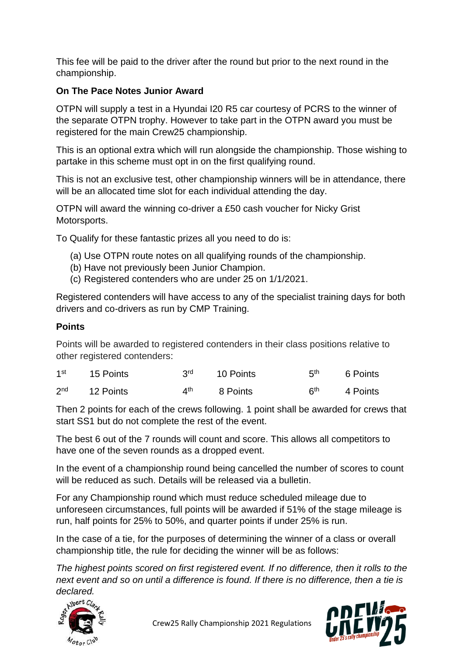This fee will be paid to the driver after the round but prior to the next round in the championship.

## **On The Pace Notes Junior Award**

OTPN will supply a test in a Hyundai I20 R5 car courtesy of PCRS to the winner of the separate OTPN trophy. However to take part in the OTPN award you must be registered for the main Crew25 championship.

This is an optional extra which will run alongside the championship. Those wishing to partake in this scheme must opt in on the first qualifying round.

This is not an exclusive test, other championship winners will be in attendance, there will be an allocated time slot for each individual attending the day.

OTPN will award the winning co-driver a £50 cash voucher for Nicky Grist Motorsports.

To Qualify for these fantastic prizes all you need to do is:

- (a) Use OTPN route notes on all qualifying rounds of the championship.
- (b) Have not previously been Junior Champion.
- (c) Registered contenders who are under 25 on 1/1/2021.

Registered contenders will have access to any of the specialist training days for both drivers and co-drivers as run by CMP Training.

# **Points**

Points will be awarded to registered contenders in their class positions relative to other registered contenders:

| 1 <sup>st</sup> | 15 Points |     | 3 <sup>rd</sup> 10 Points | 5th        | 6 Points |
|-----------------|-----------|-----|---------------------------|------------|----------|
| 2 <sub>nd</sub> | 12 Points | ⊿th | 8 Points                  | <b>Ath</b> | 4 Points |

Then 2 points for each of the crews following. 1 point shall be awarded for crews that start SS1 but do not complete the rest of the event.

The best 6 out of the 7 rounds will count and score. This allows all competitors to have one of the seven rounds as a dropped event.

In the event of a championship round being cancelled the number of scores to count will be reduced as such. Details will be released via a bulletin.

For any Championship round which must reduce scheduled mileage due to unforeseen circumstances, full points will be awarded if 51% of the stage mileage is run, half points for 25% to 50%, and quarter points if under 25% is run.

In the case of a tie, for the purposes of determining the winner of a class or overall championship title, the rule for deciding the winner will be as follows:

*The highest points scored on first registered event. If no difference, then it rolls to the next event and so on until a difference is found. If there is no difference, then a tie is* 



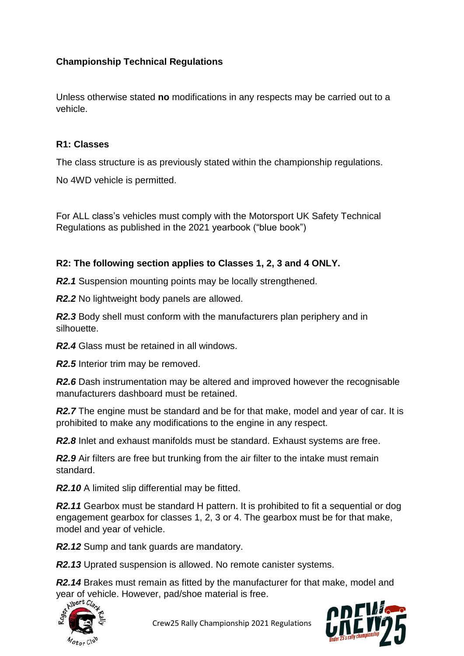## **Championship Technical Regulations**

Unless otherwise stated **no** modifications in any respects may be carried out to a vehicle.

#### **R1: Classes**

The class structure is as previously stated within the championship regulations.

No 4WD vehicle is permitted.

For ALL class's vehicles must comply with the Motorsport UK Safety Technical Regulations as published in the 2021 yearbook ("blue book")

### **R2: The following section applies to Classes 1, 2, 3 and 4 ONLY.**

*R2.1* Suspension mounting points may be locally strengthened.

*R2.2* No lightweight body panels are allowed.

*R2.3* Body shell must conform with the manufacturers plan periphery and in silhouette.

*R2.4* Glass must be retained in all windows.

*R2.5* Interior trim may be removed.

**R2.6** Dash instrumentation may be altered and improved however the recognisable manufacturers dashboard must be retained.

**R2.7** The engine must be standard and be for that make, model and year of car. It is prohibited to make any modifications to the engine in any respect.

*R2.8* Inlet and exhaust manifolds must be standard. Exhaust systems are free.

**R2.9** Air filters are free but trunking from the air filter to the intake must remain standard.

*R2.10* A limited slip differential may be fitted.

**R2.11** Gearbox must be standard H pattern. It is prohibited to fit a sequential or dog engagement gearbox for classes 1, 2, 3 or 4. The gearbox must be for that make, model and year of vehicle.

*R2.12* Sump and tank guards are mandatory.

*R2.13* Uprated suspension is allowed. No remote canister systems.

*R2.14* Brakes must remain as fitted by the manufacturer for that make, model and year of vehicle. However, pad/shoe material is free.



Crew25 Rally Championship 2021 Regulations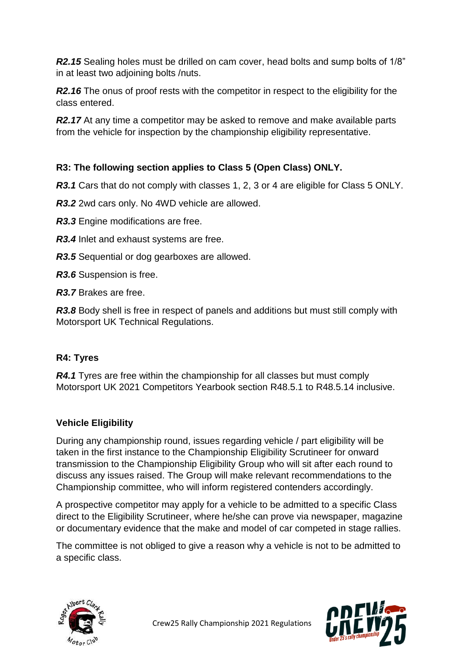*R2.15* Sealing holes must be drilled on cam cover, head bolts and sump bolts of 1/8" in at least two adjoining bolts /nuts.

**R2.16** The onus of proof rests with the competitor in respect to the eligibility for the class entered.

**R2.17** At any time a competitor may be asked to remove and make available parts from the vehicle for inspection by the championship eligibility representative.

# **R3: The following section applies to Class 5 (Open Class) ONLY.**

**R3.1** Cars that do not comply with classes 1, 2, 3 or 4 are eligible for Class 5 ONLY.

*R3.2* 2wd cars only. No 4WD vehicle are allowed.

*R3.3* Engine modifications are free.

*R3.4* Inlet and exhaust systems are free.

*R3.5* Sequential or dog gearboxes are allowed.

*R3.6* Suspension is free.

*R3.7* Brakes are free.

**R3.8** Body shell is free in respect of panels and additions but must still comply with Motorsport UK Technical Regulations.

## **R4: Tyres**

*R4.1* Tyres are free within the championship for all classes but must comply Motorsport UK 2021 Competitors Yearbook section R48.5.1 to R48.5.14 inclusive.

## **Vehicle Eligibility**

During any championship round, issues regarding vehicle / part eligibility will be taken in the first instance to the Championship Eligibility Scrutineer for onward transmission to the Championship Eligibility Group who will sit after each round to discuss any issues raised. The Group will make relevant recommendations to the Championship committee, who will inform registered contenders accordingly.

A prospective competitor may apply for a vehicle to be admitted to a specific Class direct to the Eligibility Scrutineer, where he/she can prove via newspaper, magazine or documentary evidence that the make and model of car competed in stage rallies.

The committee is not obliged to give a reason why a vehicle is not to be admitted to a specific class.